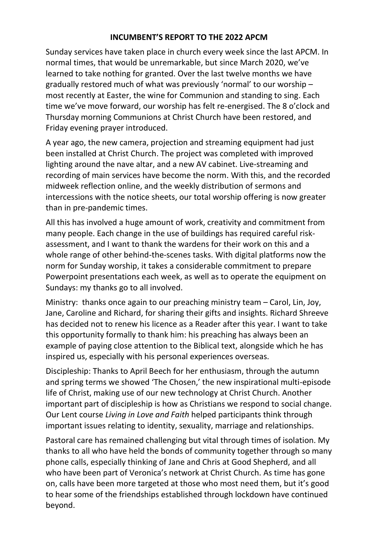## **INCUMBENT'S REPORT TO THE 2022 APCM**

Sunday services have taken place in church every week since the last APCM. In normal times, that would be unremarkable, but since March 2020, we've learned to take nothing for granted. Over the last twelve months we have gradually restored much of what was previously 'normal' to our worship – most recently at Easter, the wine for Communion and standing to sing. Each time we've move forward, our worship has felt re-energised. The 8 o'clock and Thursday morning Communions at Christ Church have been restored, and Friday evening prayer introduced.

A year ago, the new camera, projection and streaming equipment had just been installed at Christ Church. The project was completed with improved lighting around the nave altar, and a new AV cabinet. Live-streaming and recording of main services have become the norm. With this, and the recorded midweek reflection online, and the weekly distribution of sermons and intercessions with the notice sheets, our total worship offering is now greater than in pre-pandemic times.

All this has involved a huge amount of work, creativity and commitment from many people. Each change in the use of buildings has required careful riskassessment, and I want to thank the wardens for their work on this and a whole range of other behind-the-scenes tasks. With digital platforms now the norm for Sunday worship, it takes a considerable commitment to prepare Powerpoint presentations each week, as well as to operate the equipment on Sundays: my thanks go to all involved.

Ministry: thanks once again to our preaching ministry team – Carol, Lin, Joy, Jane, Caroline and Richard, for sharing their gifts and insights. Richard Shreeve has decided not to renew his licence as a Reader after this year. I want to take this opportunity formally to thank him: his preaching has always been an example of paying close attention to the Biblical text, alongside which he has inspired us, especially with his personal experiences overseas.

Discipleship: Thanks to April Beech for her enthusiasm, through the autumn and spring terms we showed 'The Chosen,' the new inspirational multi-episode life of Christ, making use of our new technology at Christ Church. Another important part of discipleship is how as Christians we respond to social change. Our Lent course *Living in Love and Faith* helped participants think through important issues relating to identity, sexuality, marriage and relationships.

Pastoral care has remained challenging but vital through times of isolation. My thanks to all who have held the bonds of community together through so many phone calls, especially thinking of Jane and Chris at Good Shepherd, and all who have been part of Veronica's network at Christ Church. As time has gone on, calls have been more targeted at those who most need them, but it's good to hear some of the friendships established through lockdown have continued beyond.